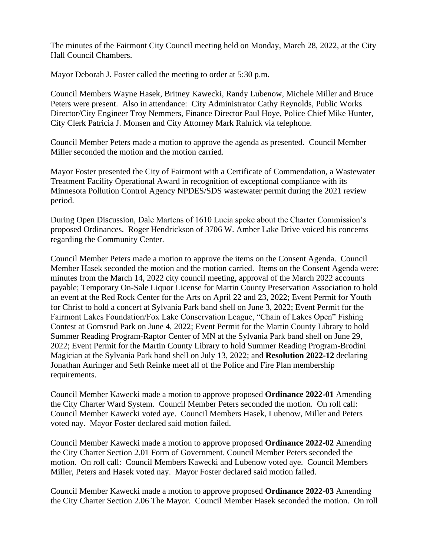The minutes of the Fairmont City Council meeting held on Monday, March 28, 2022, at the City Hall Council Chambers.

Mayor Deborah J. Foster called the meeting to order at 5:30 p.m.

Council Members Wayne Hasek, Britney Kawecki, Randy Lubenow, Michele Miller and Bruce Peters were present. Also in attendance: City Administrator Cathy Reynolds, Public Works Director/City Engineer Troy Nemmers, Finance Director Paul Hoye, Police Chief Mike Hunter, City Clerk Patricia J. Monsen and City Attorney Mark Rahrick via telephone.

Council Member Peters made a motion to approve the agenda as presented. Council Member Miller seconded the motion and the motion carried.

Mayor Foster presented the City of Fairmont with a Certificate of Commendation, a Wastewater Treatment Facility Operational Award in recognition of exceptional compliance with its Minnesota Pollution Control Agency NPDES/SDS wastewater permit during the 2021 review period.

During Open Discussion, Dale Martens of 1610 Lucia spoke about the Charter Commission's proposed Ordinances. Roger Hendrickson of 3706 W. Amber Lake Drive voiced his concerns regarding the Community Center.

Council Member Peters made a motion to approve the items on the Consent Agenda. Council Member Hasek seconded the motion and the motion carried. Items on the Consent Agenda were: minutes from the March 14, 2022 city council meeting, approval of the March 2022 accounts payable; Temporary On-Sale Liquor License for Martin County Preservation Association to hold an event at the Red Rock Center for the Arts on April 22 and 23, 2022; Event Permit for Youth for Christ to hold a concert at Sylvania Park band shell on June 3, 2022; Event Permit for the Fairmont Lakes Foundation/Fox Lake Conservation League, "Chain of Lakes Open" Fishing Contest at Gomsrud Park on June 4, 2022; Event Permit for the Martin County Library to hold Summer Reading Program-Raptor Center of MN at the Sylvania Park band shell on June 29, 2022; Event Permit for the Martin County Library to hold Summer Reading Program-Brodini Magician at the Sylvania Park band shell on July 13, 2022; and **Resolution 2022-12** declaring Jonathan Auringer and Seth Reinke meet all of the Police and Fire Plan membership requirements.

Council Member Kawecki made a motion to approve proposed **Ordinance 2022-01** Amending the City Charter Ward System. Council Member Peters seconded the motion. On roll call: Council Member Kawecki voted aye. Council Members Hasek, Lubenow, Miller and Peters voted nay. Mayor Foster declared said motion failed.

Council Member Kawecki made a motion to approve proposed **Ordinance 2022-02** Amending the City Charter Section 2.01 Form of Government. Council Member Peters seconded the motion. On roll call: Council Members Kawecki and Lubenow voted aye. Council Members Miller, Peters and Hasek voted nay. Mayor Foster declared said motion failed.

Council Member Kawecki made a motion to approve proposed **Ordinance 2022-03** Amending the City Charter Section 2.06 The Mayor. Council Member Hasek seconded the motion. On roll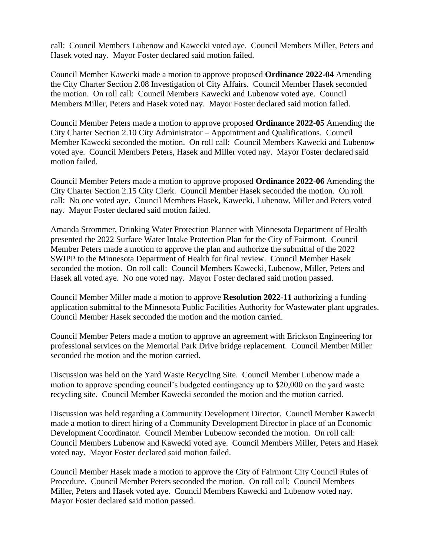call: Council Members Lubenow and Kawecki voted aye. Council Members Miller, Peters and Hasek voted nay. Mayor Foster declared said motion failed.

Council Member Kawecki made a motion to approve proposed **Ordinance 2022-04** Amending the City Charter Section 2.08 Investigation of City Affairs. Council Member Hasek seconded the motion. On roll call: Council Members Kawecki and Lubenow voted aye. Council Members Miller, Peters and Hasek voted nay. Mayor Foster declared said motion failed.

Council Member Peters made a motion to approve proposed **Ordinance 2022-05** Amending the City Charter Section 2.10 City Administrator – Appointment and Qualifications. Council Member Kawecki seconded the motion. On roll call: Council Members Kawecki and Lubenow voted aye. Council Members Peters, Hasek and Miller voted nay. Mayor Foster declared said motion failed.

Council Member Peters made a motion to approve proposed **Ordinance 2022-06** Amending the City Charter Section 2.15 City Clerk. Council Member Hasek seconded the motion. On roll call: No one voted aye. Council Members Hasek, Kawecki, Lubenow, Miller and Peters voted nay. Mayor Foster declared said motion failed.

Amanda Strommer, Drinking Water Protection Planner with Minnesota Department of Health presented the 2022 Surface Water Intake Protection Plan for the City of Fairmont. Council Member Peters made a motion to approve the plan and authorize the submittal of the 2022 SWIPP to the Minnesota Department of Health for final review. Council Member Hasek seconded the motion. On roll call: Council Members Kawecki, Lubenow, Miller, Peters and Hasek all voted aye. No one voted nay. Mayor Foster declared said motion passed.

Council Member Miller made a motion to approve **Resolution 2022-11** authorizing a funding application submittal to the Minnesota Public Facilities Authority for Wastewater plant upgrades. Council Member Hasek seconded the motion and the motion carried.

Council Member Peters made a motion to approve an agreement with Erickson Engineering for professional services on the Memorial Park Drive bridge replacement. Council Member Miller seconded the motion and the motion carried.

Discussion was held on the Yard Waste Recycling Site. Council Member Lubenow made a motion to approve spending council's budgeted contingency up to \$20,000 on the yard waste recycling site. Council Member Kawecki seconded the motion and the motion carried.

Discussion was held regarding a Community Development Director. Council Member Kawecki made a motion to direct hiring of a Community Development Director in place of an Economic Development Coordinator. Council Member Lubenow seconded the motion. On roll call: Council Members Lubenow and Kawecki voted aye. Council Members Miller, Peters and Hasek voted nay. Mayor Foster declared said motion failed.

Council Member Hasek made a motion to approve the City of Fairmont City Council Rules of Procedure. Council Member Peters seconded the motion. On roll call: Council Members Miller, Peters and Hasek voted aye. Council Members Kawecki and Lubenow voted nay. Mayor Foster declared said motion passed.